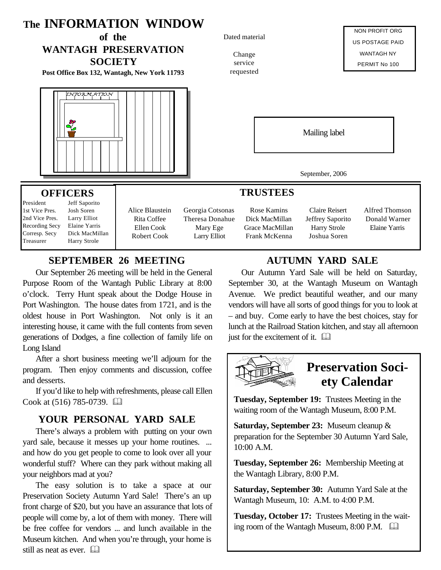

## **SEPTEMBER 26 MEETING**

Our September 26 meeting will be held in the General Purpose Room of the Wantagh Public Library at 8:00 o'clock. Terry Hunt speak about the Dodge House in Port Washington. The house dates from 1721, and is the oldest house in Port Washington. Not only is it an interesting house, it came with the full contents from seven generations of Dodges, a fine collection of family life on Long Island

After a short business meeting we'll adjourn for the program. Then enjoy comments and discussion, coffee and desserts.

If you'd like to help with refreshments, please call Ellen Cook at  $(516)$  785-0739.  $\Box$ 

#### **YOUR PERSONAL YARD SALE**

There's always a problem with putting on your own yard sale, because it messes up your home routines. ... and how do you get people to come to look over all your wonderful stuff? Where can they park without making all your neighbors mad at you?

The easy solution is to take a space at our Preservation Society Autumn Yard Sale! There's an up front charge of \$20, but you have an assurance that lots of people will come by, a lot of them with money. There will be free coffee for vendors ... and lunch available in the Museum kitchen. And when you're through, your home is still as neat as ever.  $\Box$ 

### **AUTUMN YARD SALE**

Our Autumn Yard Sale will be held on Saturday, September 30, at the Wantagh Museum on Wantagh Avenue. We predict beautiful weather, and our many vendors will have all sorts of good things for you to look at – and buy. Come early to have the best choices, stay for lunch at the Railroad Station kitchen, and stay all afternoon just for the excitement of it.  $\Box$ 



**Tuesday, September 19:** Trustees Meeting in the waiting room of the Wantagh Museum, 8:00 P.M.

**Saturday, September 23:** Museum cleanup & preparation for the September 30 Autumn Yard Sale, 10:00 A.M.

**Tuesday, September 26:** Membership Meeting at the Wantagh Library, 8:00 P.M.

**Saturday, September 30:** Autumn Yard Sale at the Wantagh Museum, 10: A.M. to 4:00 P.M.

**Tuesday, October 17:** Trustees Meeting in the waiting room of the Wantagh Museum,  $8:00$  P.M.  $\Box$